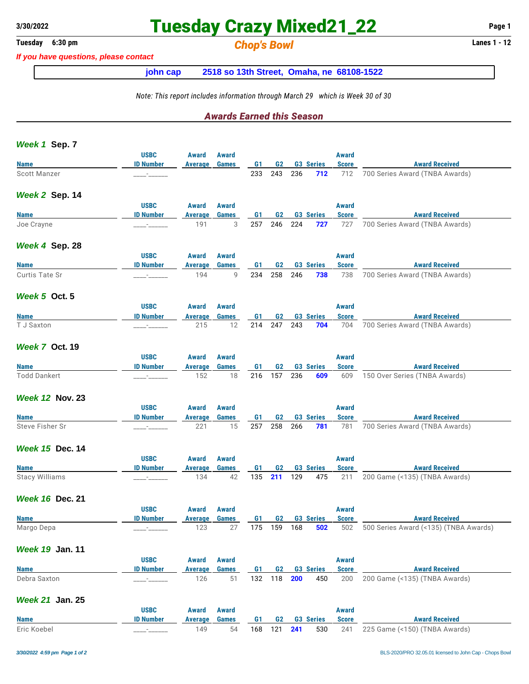## **3/30/2022 Tuesday Crazy Mixed21\_22 Page 1**

### **Tuesday 6:30 pm** *Chop's Bowl* **Lanes 1 - 12**

*If you have questions, please contact*

**john cap 2518 so 13th Street, Omaha, ne 68108-1522**

*Note: This report includes information through March 29 which is Week 30 of 30*

#### *Awards Earned this Season*

| Week 1 Sep. 7          |                      |                |              |                |                |     |                  |              |                                       |
|------------------------|----------------------|----------------|--------------|----------------|----------------|-----|------------------|--------------|---------------------------------------|
|                        | <b>USBC</b>          | Award          | Award        |                |                |     |                  | <b>Award</b> |                                       |
| <b>Name</b>            | <b>ID Number</b>     | <b>Average</b> | <b>Games</b> | G <sub>1</sub> | G <sub>2</sub> |     | <b>G3 Series</b> | <b>Score</b> | <b>Award Received</b>                 |
| <b>Scott Manzer</b>    |                      |                |              | 233            | 243            | 236 | 712              | 712          | 700 Series Award (TNBA Awards)        |
| Week 2 Sep. 14         |                      |                |              |                |                |     |                  |              |                                       |
|                        | <b>USBC</b>          | Award          | <b>Award</b> |                |                |     |                  | <b>Award</b> |                                       |
| <b>Name</b>            | <b>ID Number</b>     | <b>Average</b> | <b>Games</b> | G1             | G <sub>2</sub> |     | <b>G3 Series</b> | <b>Score</b> | <b>Award Received</b>                 |
| Joe Crayne             |                      | 191            | 3            | 257            | 246            | 224 | 727              | 727          | 700 Series Award (TNBA Awards)        |
| Week 4 Sep. 28         |                      |                |              |                |                |     |                  |              |                                       |
|                        | <b>USBC</b>          | Award          | Award        |                |                |     |                  | <b>Award</b> |                                       |
| <b>Name</b>            | <b>ID Number</b>     | Average        | Games        | G <sub>1</sub> | G <sub>2</sub> |     | <b>G3 Series</b> | <b>Score</b> | <b>Award Received</b>                 |
| <b>Curtis Tate Sr</b>  |                      | 194            | 9            | 234            | 258            | 246 | 738              | 738          | 700 Series Award (TNBA Awards)        |
| Week 5 Oct. 5          |                      |                |              |                |                |     |                  |              |                                       |
|                        | <b>USBC</b>          | Award          | Award        |                |                |     |                  | Award        |                                       |
| <b>Name</b>            | <b>ID Number</b>     | <b>Average</b> | <b>Games</b> | G <sub>1</sub> | G <sub>2</sub> |     | <b>G3 Series</b> | <b>Score</b> | <b>Award Received</b>                 |
| T J Saxton             |                      | 215            | 12           | 214            | 247            | 243 | 704              | 704          | 700 Series Award (TNBA Awards)        |
| <b>Week 7 Oct. 19</b>  |                      |                |              |                |                |     |                  |              |                                       |
|                        | <b>USBC</b>          | <b>Award</b>   | <b>Award</b> |                |                |     |                  | <b>Award</b> |                                       |
| <b>Name</b>            | <b>ID Number</b>     | <b>Average</b> | <b>Games</b> | G1             | G2             |     | G3 Series        | <b>Score</b> | <b>Award Received</b>                 |
| <b>Todd Dankert</b>    |                      | 152            | 18           | 216            | 157            | 236 | 609              | 609          | 150 Over Series (TNBA Awards)         |
| <b>Week 12 Nov. 23</b> |                      |                |              |                |                |     |                  |              |                                       |
|                        | <b>USBC</b>          | <b>Award</b>   | Award        |                |                |     |                  | <b>Award</b> |                                       |
| <b>Name</b>            | <b>ID Number</b>     | Average        | <b>Games</b> | G1             | G <sub>2</sub> |     | <b>G3 Series</b> | <b>Score</b> | <b>Award Received</b>                 |
| Steve Fisher Sr        |                      | 221            | 15           | 257            | 258            | 266 | 781              | 781          | 700 Series Award (TNBA Awards)        |
| <b>Week 15 Dec. 14</b> |                      |                |              |                |                |     |                  |              |                                       |
|                        | <b>USBC</b>          | <b>Award</b>   | Award        |                |                |     |                  | Award        |                                       |
| <b>Name</b>            | <b>ID Number</b>     | Average        | <b>Games</b> | G1             | G2             |     | <b>G3 Series</b> | <b>Score</b> | <b>Award Received</b>                 |
| <b>Stacy Williams</b>  | $-$                  | 134            | 42           | 135            | 211            | 129 | 475              | 211          | 200 Game (<135) (TNBA Awards)         |
| <b>Week 16 Dec. 21</b> |                      |                |              |                |                |     |                  |              |                                       |
|                        | <b>USBC</b>          | <b>Award</b>   | Award        |                |                |     |                  | Award        |                                       |
| <b>Name</b>            | <b>ID Number</b>     | Average        | <b>Games</b> | G1             | G <sub>2</sub> |     | <b>G3 Series</b> | <b>Score</b> | <b>Award Received</b>                 |
| Margo Depa             |                      | 123            | 27           |                | 175 159 168    |     | 502              | 502          | 500 Series Award (<135) (TNBA Awards) |
| <b>Week 19 Jan. 11</b> |                      |                |              |                |                |     |                  |              |                                       |
|                        | <b>USBC</b>          | <b>Award</b>   | <b>Award</b> |                |                |     |                  | <b>Award</b> |                                       |
| <b>Name</b>            | <b>ID Number</b>     | <b>Average</b> | <b>Games</b> | G1             | G <sub>2</sub> |     | <b>G3 Series</b> | <b>Score</b> | <b>Award Received</b>                 |
| Debra Saxton           | $\ddot{\phantom{a}}$ | 126            | 51           | 132            | 118            | 200 | 450              | 200          | 200 Game (<135) (TNBA Awards)         |
| <b>Week 21 Jan. 25</b> |                      |                |              |                |                |     |                  |              |                                       |
|                        | <b>USBC</b>          | Award          | <b>Award</b> |                |                |     |                  | <b>Award</b> |                                       |
| <b>Name</b>            | <b>ID Number</b>     | <b>Average</b> | <b>Games</b> | G <sub>1</sub> | G <sub>2</sub> |     | <b>G3 Series</b> | <b>Score</b> | <b>Award Received</b>                 |
| Eric Koebel            |                      | 149            | 54           | 168            | 121            | 241 | 530              | 241          | 225 Game (<150) (TNBA Awards)         |